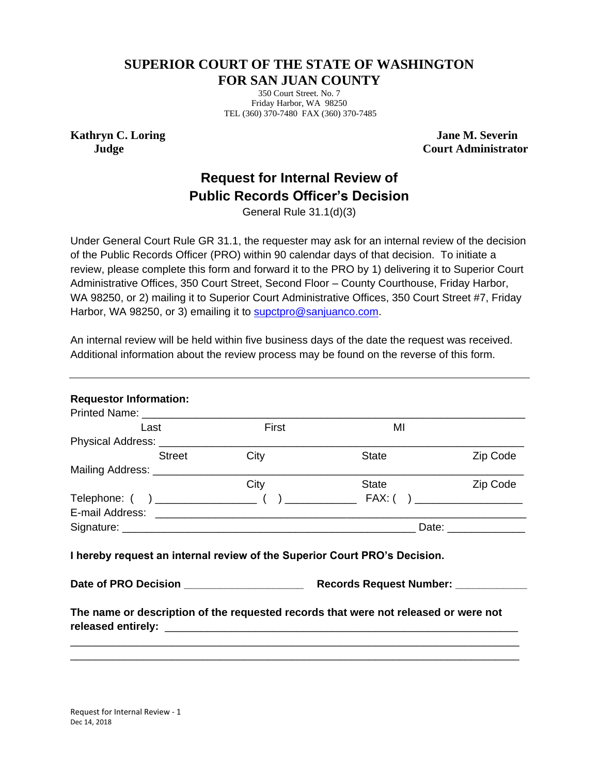## **SUPERIOR COURT OF THE STATE OF WASHINGTON FOR SAN JUAN COUNTY**

350 Court Street. No. 7 Friday Harbor, WA 98250 TEL (360) 370-7480 FAX (360) 370-7485

**Kathryn C. Loring Judge**

 **Jane M. Severin Court Administrator**

## **Request for Internal Review of Public Records Officer's Decision**

General Rule 31.1(d)(3)

Under General Court Rule GR 31.1, the requester may ask for an internal review of the decision of the Public Records Officer (PRO) within 90 calendar days of that decision. To initiate a review, please complete this form and forward it to the PRO by 1) delivering it to Superior Court Administrative Offices, 350 Court Street, Second Floor – County Courthouse, Friday Harbor, WA 98250, or 2) mailing it to Superior Court Administrative Offices, 350 Court Street #7, Friday Harbor, WA 98250, or 3) emailing it to [supctpro@sanjuanco.com.](mailto:supctpro@sanjuanco.com)

| An internal review will be held within five business days of the date the request was received. |  |
|-------------------------------------------------------------------------------------------------|--|
| Additional information about the review process may be found on the reverse of this form.       |  |

| Last                               |        | First                                     | MI                                                                                                                |          |
|------------------------------------|--------|-------------------------------------------|-------------------------------------------------------------------------------------------------------------------|----------|
| Physical Address: _______________  |        |                                           |                                                                                                                   |          |
|                                    | Street | City                                      | <b>State</b>                                                                                                      | Zip Code |
| Mailing Address: _________________ |        |                                           |                                                                                                                   |          |
|                                    |        | City                                      | State                                                                                                             | Zip Code |
|                                    |        |                                           |                                                                                                                   |          |
|                                    |        |                                           |                                                                                                                   |          |
|                                    |        |                                           |                                                                                                                   |          |
|                                    |        |                                           |                                                                                                                   |          |
|                                    |        | Date of PRO Decision ____________________ | I hereby request an internal review of the Superior Court PRO's Decision.<br>Records Request Number: ____________ |          |